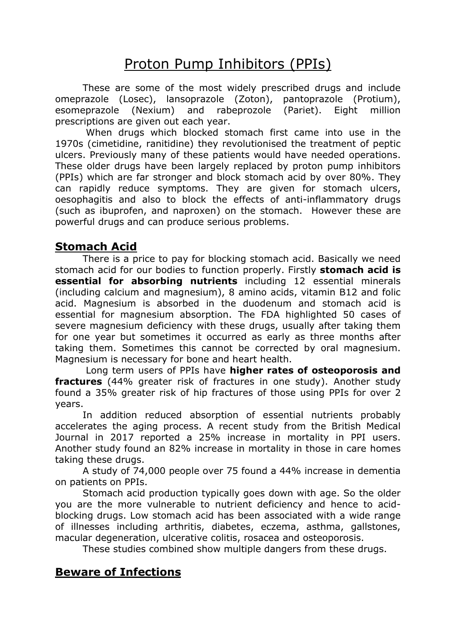# Proton Pump Inhibitors (PPIs)

These are some of the most widely prescribed drugs and include omeprazole (Losec), lansoprazole (Zoton), pantoprazole (Protium), esomeprazole (Nexium) and rabeprozole (Pariet). Eight million prescriptions are given out each year.

 When drugs which blocked stomach first came into use in the 1970s (cimetidine, ranitidine) they revolutionised the treatment of peptic ulcers. Previously many of these patients would have needed operations. These older drugs have been largely replaced by proton pump inhibitors (PPIs) which are far stronger and block stomach acid by over 80%. They can rapidly reduce symptoms. They are given for stomach ulcers, oesophagitis and also to block the effects of anti-inflammatory drugs (such as ibuprofen, and naproxen) on the stomach. However these are powerful drugs and can produce serious problems.

## Stomach Acid

There is a price to pay for blocking stomach acid. Basically we need stomach acid for our bodies to function properly. Firstly **stomach acid is** essential for absorbing nutrients including 12 essential minerals (including calcium and magnesium), 8 amino acids, vitamin B12 and folic acid. Magnesium is absorbed in the duodenum and stomach acid is essential for magnesium absorption. The FDA highlighted 50 cases of severe magnesium deficiency with these drugs, usually after taking them for one year but sometimes it occurred as early as three months after taking them. Sometimes this cannot be corrected by oral magnesium. Magnesium is necessary for bone and heart health.

Long term users of PPIs have higher rates of osteoporosis and fractures (44% greater risk of fractures in one study). Another study found a 35% greater risk of hip fractures of those using PPIs for over 2 years.

In addition reduced absorption of essential nutrients probably accelerates the aging process. A recent study from the British Medical Journal in 2017 reported a 25% increase in mortality in PPI users. Another study found an 82% increase in mortality in those in care homes taking these drugs.

A study of 74,000 people over 75 found a 44% increase in dementia on patients on PPIs.

Stomach acid production typically goes down with age. So the older you are the more vulnerable to nutrient deficiency and hence to acidblocking drugs. Low stomach acid has been associated with a wide range of illnesses including arthritis, diabetes, eczema, asthma, gallstones, macular degeneration, ulcerative colitis, rosacea and osteoporosis.

These studies combined show multiple dangers from these drugs.

## Beware of Infections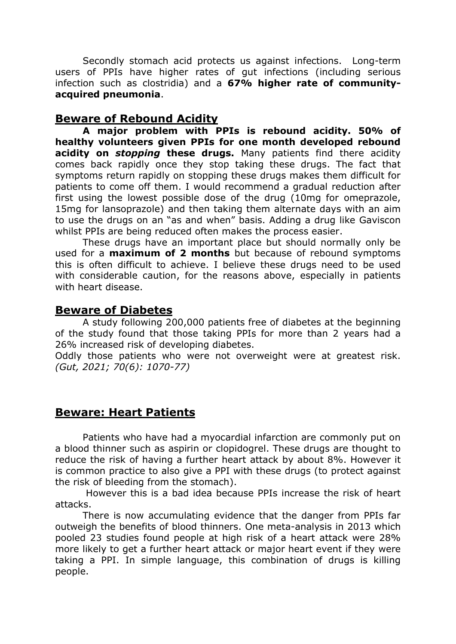Secondly stomach acid protects us against infections. Long-term users of PPIs have higher rates of gut infections (including serious infection such as clostridia) and a 67% higher rate of communityacquired pneumonia.

#### Beware of Rebound Acidity

A major problem with PPIs is rebound acidity. 50% of healthy volunteers given PPIs for one month developed rebound acidity on *stopping* these drugs. Many patients find there acidity comes back rapidly once they stop taking these drugs. The fact that symptoms return rapidly on stopping these drugs makes them difficult for patients to come off them. I would recommend a gradual reduction after first using the lowest possible dose of the drug (10mg for omeprazole, 15mg for lansoprazole) and then taking them alternate days with an aim to use the drugs on an "as and when" basis. Adding a drug like Gaviscon whilst PPIs are being reduced often makes the process easier.

 These drugs have an important place but should normally only be used for a **maximum of 2 months** but because of rebound symptoms this is often difficult to achieve. I believe these drugs need to be used with considerable caution, for the reasons above, especially in patients with heart disease.

### Beware of Diabetes

 A study following 200,000 patients free of diabetes at the beginning of the study found that those taking PPIs for more than 2 years had a 26% increased risk of developing diabetes.

Oddly those patients who were not overweight were at greatest risk. (Gut, 2021; 70(6): 1070-77)

## Beware: Heart Patients

 Patients who have had a myocardial infarction are commonly put on a blood thinner such as aspirin or clopidogrel. These drugs are thought to reduce the risk of having a further heart attack by about 8%. However it is common practice to also give a PPI with these drugs (to protect against the risk of bleeding from the stomach).

 However this is a bad idea because PPIs increase the risk of heart attacks.

There is now accumulating evidence that the danger from PPIs far outweigh the benefits of blood thinners. One meta-analysis in 2013 which pooled 23 studies found people at high risk of a heart attack were 28% more likely to get a further heart attack or major heart event if they were taking a PPI. In simple language, this combination of drugs is killing people.